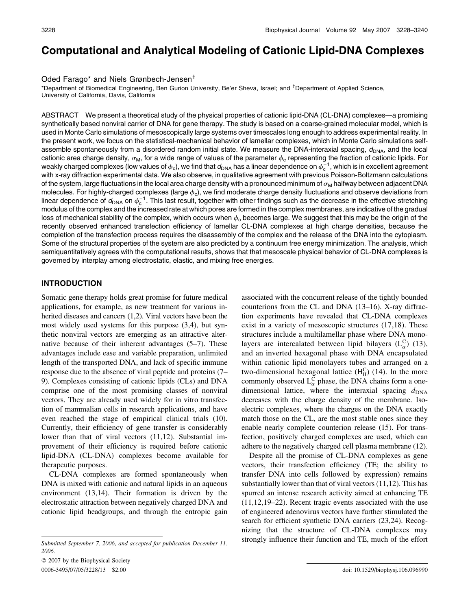# Computational and Analytical Modeling of Cationic Lipid-DNA Complexes

#### Oded Farago\* and Niels Grønbech-Jensen<sup>†</sup>

\*Department of Biomedical Engineering, Ben Gurion University, Be'er Sheva, Israel; and <sup>†</sup>Department of Applied Science, University of California, Davis, California

ABSTRACT We present a theoretical study of the physical properties of cationic lipid-DNA (CL-DNA) complexes—a promising synthetically based nonviral carrier of DNA for gene therapy. The study is based on a coarse-grained molecular model, which is used in Monte Carlo simulations of mesoscopically large systems over timescales long enough to address experimental reality. In the present work, we focus on the statistical-mechanical behavior of lamellar complexes, which in Monte Carlo simulations selfassemble spontaneously from a disordered random initial state. We measure the DNA-interaxial spacing,  $d_{DNA}$ , and the local cationic area charge density,  $\sigma_M$ , for a wide range of values of the parameter  $\phi_c$  representing the fraction of cationic lipids. For weakly charged complexes (low values of  $\phi_c$ ), we find that  $d_{\sf DNA}$  has a linear dependence on  $\phi_c^{-1}$ , which is in excellent agreement with x-ray diffraction experimental data. We also observe, in qualitative agreement with previous Poisson-Boltzmann calculations of the system, large fluctuations in the local area charge density with a pronounced minimum of  $\sigma_M$  halfway between adjacent DNA molecules. For highly-charged complexes (large  $\phi_c$ ), we find moderate charge density fluctuations and observe deviations from linear dependence of  $d_{\sf DNA}$  on  $\phi_{\sf c}^{-1}.$  This last result, together with other findings such as the decrease in the effective stretching modulus of the complex and the increased rate at which pores are formed in the complex membranes, are indicative of the gradual loss of mechanical stability of the complex, which occurs when  $\phi_c$  becomes large. We suggest that this may be the origin of the recently observed enhanced transfection efficiency of lamellar CL-DNA complexes at high charge densities, because the completion of the transfection process requires the disassembly of the complex and the release of the DNA into the cytoplasm. Some of the structural properties of the system are also predicted by a continuum free energy minimization. The analysis, which semiquantitatively agrees with the computational results, shows that that mesoscale physical behavior of CL-DNA complexes is governed by interplay among electrostatic, elastic, and mixing free energies.

### INTRODUCTION

Somatic gene therapy holds great promise for future medical applications, for example, as new treatment for various inherited diseases and cancers (1,2). Viral vectors have been the most widely used systems for this purpose (3,4), but synthetic nonviral vectors are emerging as an attractive alternative because of their inherent advantages (5–7). These advantages include ease and variable preparation, unlimited length of the transported DNA, and lack of specific immune response due to the absence of viral peptide and proteins (7– 9). Complexes consisting of cationic lipids (CLs) and DNA comprise one of the most promising classes of nonviral vectors. They are already used widely for in vitro transfection of mammalian cells in research applications, and have even reached the stage of empirical clinical trials (10). Currently, their efficiency of gene transfer is considerably lower than that of viral vectors (11,12). Substantial improvement of their efficiency is required before cationic lipid-DNA (CL-DNA) complexes become available for therapeutic purposes.

CL-DNA complexes are formed spontaneously when DNA is mixed with cationic and natural lipids in an aqueous environment (13,14). Their formation is driven by the electrostatic attraction between negatively charged DNA and cationic lipid headgroups, and through the entropic gain

 $© 2007$  by the Biophysical Society 0006-3495/07/05/3228/13 \$2.00 doi: 10.1529/biophysj.106.096990

associated with the concurrent release of the tightly bounded counterions from the CL and DNA (13–16). X-ray diffraction experiments have revealed that CL-DNA complexes exist in a variety of mesoscopic structures (17,18). These structures include a multilamellar phase where DNA monolayers are intercalated between lipid bilayers  $(L_{\alpha}^{C})$  (13), and an inverted hexagonal phase with DNA encapsulated within cationic lipid monolayers tubes and arranged on a two-dimensional hexagonal lattice  $(H_{II}^C)$  (14). In the more commonly observed  $L_{\alpha}^{C}$  phase, the DNA chains form a onedimensional lattice, where the interaxial spacing  $d_{\text{DNA}}$ decreases with the charge density of the membrane. Isoelectric complexes, where the charges on the DNA exactly match those on the CL, are the most stable ones since they enable nearly complete counterion release (15). For transfection, positively charged complexes are used, which can adhere to the negatively charged cell plasma membrane (12).

Despite all the promise of CL-DNA complexes as gene vectors, their transfection efficiency (TE; the ability to transfer DNA into cells followed by expression) remains substantially lower than that of viral vectors (11,12). This has spurred an intense research activity aimed at enhancing TE (11,12,19–22). Recent tragic events associated with the use of engineered adenovirus vectors have further stimulated the search for efficient synthetic DNA carriers (23,24). Recognizing that the structure of CL-DNA complexes may Submitted September 7, 2006, and accepted for publication December 11, strongly influence their function and TE, much of the effort

<sup>2006.</sup>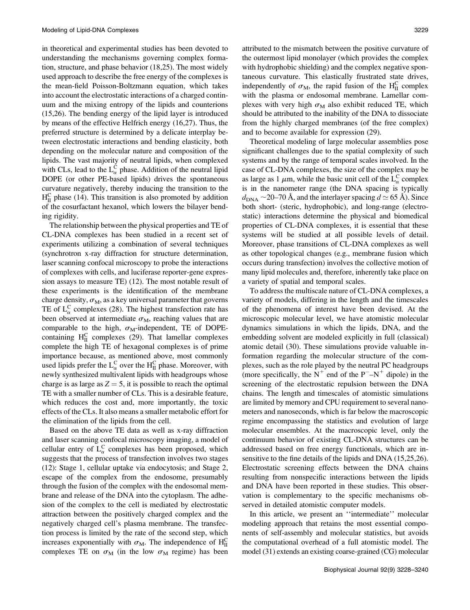in theoretical and experimental studies has been devoted to understanding the mechanisms governing complex formation, structure, and phase behavior (18,25). The most widely used approach to describe the free energy of the complexes is the mean-field Poisson-Boltzmann equation, which takes into account the electrostatic interactions of a charged continuum and the mixing entropy of the lipids and counterions (15,26). The bending energy of the lipid layer is introduced by means of the effective Helfrich energy (16,27). Thus, the preferred structure is determined by a delicate interplay between electrostatic interactions and bending elasticity, both depending on the molecular nature and composition of the lipids. The vast majority of neutral lipids, when complexed with CLs, lead to the  $L_{\alpha}^{C}$  phase. Addition of the neutral lipid DOPE (or other PE-based lipids) drives the spontaneous curvature negatively, thereby inducing the transition to the  $H_{\text{II}}^{\text{C}}$  phase (14). This transition is also promoted by addition of the cosurfactant hexanol, which lowers the bilayer bending rigidity.

The relationship between the physical properties and TE of CL-DNA complexes has been studied in a recent set of experiments utilizing a combination of several techniques (synchrotron x-ray diffraction for structure determination, laser scanning confocal microscopy to probe the interactions of complexes with cells, and luciferase reporter-gene expression assays to measure TE) (12). The most notable result of these experiments is the identification of the membrane charge density,  $\sigma_M$ , as a key universal parameter that governs TE of  $L_{\alpha}^{\text{C}}$  complexes (28). The highest transfection rate has been observed at intermediate  $\sigma_M$ , reaching values that are comparable to the high,  $\sigma_M$ -independent, TE of DOPEcontaining  $H_{II}^C$  complexes (29). That lamellar complexes complete the high TE of hexagonal complexes is of prime importance because, as mentioned above, most commonly used lipids prefer the  $L_{\alpha}^{C}$  over the H $_{II}^{C}$  phase. Moreover, with newly synthesized multivalent lipids with headgroups whose charge is as large as  $Z = 5$ , it is possible to reach the optimal TE with a smaller number of CLs. This is a desirable feature, which reduces the cost and, more importantly, the toxic effects of the CLs. It also means a smaller metabolic effort for the elimination of the lipids from the cell.

Based on the above TE data as well as x-ray diffraction and laser scanning confocal microscopy imaging, a model of cellular entry of  $L_{\alpha}^{C}$  complexes has been proposed, which suggests that the process of transfection involves two stages (12): Stage 1, cellular uptake via endocytosis; and Stage 2, escape of the complex from the endosome, presumably through the fusion of the complex with the endosomal membrane and release of the DNA into the cytoplasm. The adhesion of the complex to the cell is mediated by electrostatic attraction between the positively charged complex and the negatively charged cell's plasma membrane. The transfection process is limited by the rate of the second step, which increases exponentially with  $\sigma_M$ . The independence of H $_{II}^C$ complexes TE on  $\sigma_M$  (in the low  $\sigma_M$  regime) has been

attributed to the mismatch between the positive curvature of the outermost lipid monolayer (which provides the complex with hydrophobic shielding) and the complex negative spontaneous curvature. This elastically frustrated state drives, independently of  $\sigma_M$ , the rapid fusion of the H<sub>II</sub> complex with the plasma or endosomal membrane. Lamellar complexes with very high  $\sigma_M$  also exhibit reduced TE, which should be attributed to the inability of the DNA to dissociate from the highly charged membranes (of the free complex) and to become available for expression (29).

Theoretical modeling of large molecular assemblies pose significant challenges due to the spatial complexity of such systems and by the range of temporal scales involved. In the case of CL-DNA complexes, the size of the complex may be as large as 1  $\mu$ m, while the basic unit cell of the L $_{\alpha}^{\text{C}}$  complex is in the nanometer range (the DNA spacing is typically  $d_{\text{DNA}} \sim$  20–70 Å, and the interlayer spacing  $d \approx$  65 Å). Since both short- (steric, hydrophobic), and long-range (electrostatic) interactions determine the physical and biomedical properties of CL-DNA complexes, it is essential that these systems will be studied at all possible levels of detail. Moreover, phase transitions of CL-DNA complexes as well as other topological changes (e.g., membrane fusion which occurs during transfection) involves the collective motion of many lipid molecules and, therefore, inherently take place on a variety of spatial and temporal scales.

To address the multiscale nature of CL-DNA complexes, a variety of models, differing in the length and the timescales of the phenomena of interest have been devised. At the microscopic molecular level, we have atomistic molecular dynamics simulations in which the lipids, DNA, and the embedding solvent are modeled explicitly in full (classical) atomic detail (30). These simulations provide valuable information regarding the molecular structure of the complexes, such as the role played by the neutral PC headgroups (more specifically, the  $N^+$  end of the P<sup>-</sup>-N<sup>+</sup> dipole) in the screening of the electrostatic repulsion between the DNA chains. The length and timescales of atomistic simulations are limited by memory and CPU requirement to several nanometers and nanoseconds, which is far below the macroscopic regime encompassing the statistics and evolution of large molecular ensembles. At the macroscopic level, only the continuum behavior of existing CL-DNA structures can be addressed based on free energy functionals, which are insensitive to the fine details of the lipids and DNA (15,25,26). Electrostatic screening effects between the DNA chains resulting from nonspecific interactions between the lipids and DNA have been reported in these studies. This observation is complementary to the specific mechanisms observed in detailed atomistic computer models.

In this article, we present an ''intermediate'' molecular modeling approach that retains the most essential components of self-assembly and molecular statistics, but avoids the computational overhead of a full atomistic model. The model (31) extends an existing coarse-grained (CG) molecular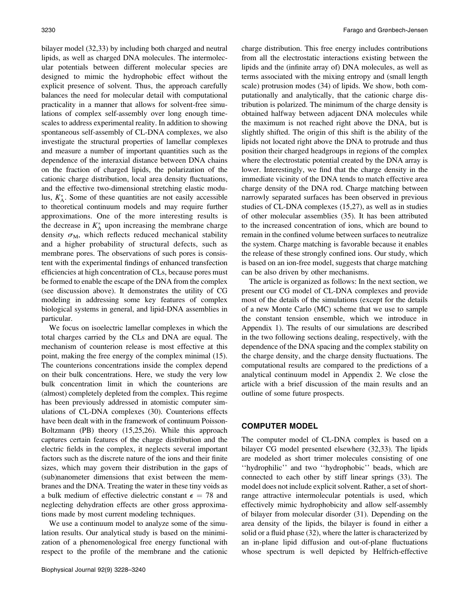bilayer model (32,33) by including both charged and neutral lipids, as well as charged DNA molecules. The intermolecular potentials between different molecular species are designed to mimic the hydrophobic effect without the explicit presence of solvent. Thus, the approach carefully balances the need for molecular detail with computational practicality in a manner that allows for solvent-free simulations of complex self-assembly over long enough timescales to address experimental reality. In addition to showing spontaneous self-assembly of CL-DNA complexes, we also investigate the structural properties of lamellar complexes and measure a number of important quantities such as the dependence of the interaxial distance between DNA chains on the fraction of charged lipids, the polarization of the cationic charge distribution, local area density fluctuations, and the effective two-dimensional stretching elastic modulus,  $K_A^*$ . Some of these quantities are not easily accessible to theoretical continuum models and may require further approximations. One of the more interesting results is the decrease in  $K_A^*$  upon increasing the membrane charge density  $\sigma_M$ , which reflects reduced mechanical stability and a higher probability of structural defects, such as membrane pores. The observations of such pores is consistent with the experimental findings of enhanced transfection efficiencies at high concentration of CLs, because pores must be formed to enable the escape of the DNA from the complex (see discussion above). It demonstrates the utility of CG modeling in addressing some key features of complex biological systems in general, and lipid-DNA assemblies in particular.

We focus on isoelectric lamellar complexes in which the total charges carried by the CLs and DNA are equal. The mechanism of counterion release is most effective at this point, making the free energy of the complex minimal (15). The counterions concentrations inside the complex depend on their bulk concentrations. Here, we study the very low bulk concentration limit in which the counterions are (almost) completely depleted from the complex. This regime has been previously addressed in atomistic computer simulations of CL-DNA complexes (30). Counterions effects have been dealt with in the framework of continuum Poisson-Boltzmann (PB) theory (15,25,26). While this approach captures certain features of the charge distribution and the electric fields in the complex, it neglects several important factors such as the discrete nature of the ions and their finite sizes, which may govern their distribution in the gaps of (sub)nanometer dimensions that exist between the membranes and the DNA. Treating the water in these tiny voids as a bulk medium of effective dielectric constant  $\epsilon = 78$  and neglecting dehydration effects are other gross approximations made by most current modeling techniques.

We use a continuum model to analyze some of the simulation results. Our analytical study is based on the minimization of a phenomenological free energy functional with respect to the profile of the membrane and the cationic charge distribution. This free energy includes contributions from all the electrostatic interactions existing between the lipids and the (infinite array of) DNA molecules, as well as terms associated with the mixing entropy and (small length scale) protrusion modes (34) of lipids. We show, both computationally and analytically, that the cationic charge distribution is polarized. The minimum of the charge density is obtained halfway between adjacent DNA molecules while the maximum is not reached right above the DNA, but is slightly shifted. The origin of this shift is the ability of the lipids not located right above the DNA to protrude and thus position their charged headgroups in regions of the complex where the electrostatic potential created by the DNA array is lower. Interestingly, we find that the charge density in the immediate vicinity of the DNA tends to match effective area charge density of the DNA rod. Charge matching between narrowly separated surfaces has been observed in previous studies of CL-DNA complexes (15,27), as well as in studies of other molecular assemblies (35). It has been attributed to the increased concentration of ions, which are bound to remain in the confined volume between surfaces to neutralize the system. Charge matching is favorable because it enables the release of these strongly confined ions. Our study, which is based on an ion-free model, suggests that charge matching can be also driven by other mechanisms.

The article is organized as follows: In the next section, we present our CG model of CL-DNA complexes and provide most of the details of the simulations (except for the details of a new Monte Carlo (MC) scheme that we use to sample the constant tension ensemble, which we introduce in Appendix 1). The results of our simulations are described in the two following sections dealing, respectively, with the dependence of the DNA spacing and the complex stability on the charge density, and the charge density fluctuations. The computational results are compared to the predictions of a analytical continuum model in Appendix 2. We close the article with a brief discussion of the main results and an outline of some future prospects.

# COMPUTER MODEL

The computer model of CL-DNA complex is based on a bilayer CG model presented elsewhere (32,33). The lipids are modeled as short trimer molecules consisting of one ''hydrophilic'' and two ''hydrophobic'' beads, which are connected to each other by stiff linear springs (33). The model does not include explicit solvent. Rather, a set of shortrange attractive intermolecular potentials is used, which effectively mimic hydrophobicity and allow self-assembly of bilayer from molecular disorder (31). Depending on the area density of the lipids, the bilayer is found in either a solid or a fluid phase (32), where the latter is characterized by an in-plane lipid diffusion and out-of-plane fluctuations whose spectrum is well depicted by Helfrich-effective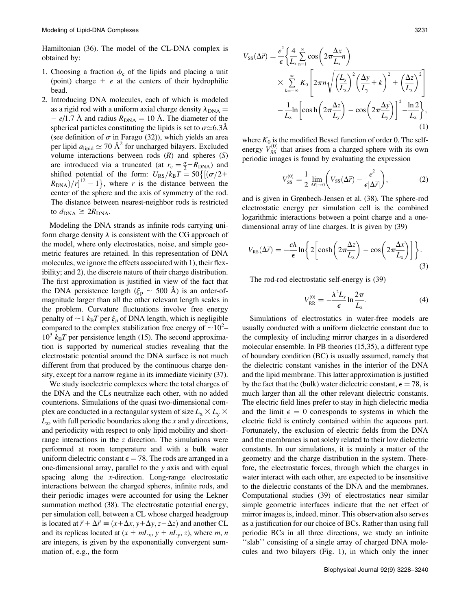Hamiltonian (36). The model of the CL-DNA complex is obtained by:

- 1. Choosing a fraction  $\phi_c$  of the lipids and placing a unit (point) charge  $+$  e at the centers of their hydrophilic bead.
- 2. Introducing DNA molecules, each of which is modeled as a rigid rod with a uniform axial charge density  $\lambda_{DNA} =$  $- e/1.7$  Å and radius  $R_{\text{DNA}} = 10$  Å. The diameter of the spherical particles constituting the lipids is set to  $\sigma \simeq 6.3$ Å (see definition of  $\sigma$  in Farago (32)), which yields an area per lipid  $a_{\text{lipid}} \simeq 70 \text{ Å}^2$  for uncharged bilayers. Excluded volume interactions between rods  $(R)$  and spheres  $(S)$ are introduced via a truncated (at  $r_c = \frac{\sigma}{2} + R_{\text{DNA}}$ ) and shifted potential of the form:  $U_{\text{RS}}/k_{\text{B}}T = 50\{[(\sigma/2 +$  $(R_{\text{DNA}}/r)^{12} - 1$ , where r is the distance between the center of the sphere and the axis of symmetry of the rod. The distance between nearest-neighbor rods is restricted to  $d_{\text{DNA}} \geq 2R_{\text{DNA}}$ .

Modeling the DNA strands as infinite rods carrying uniform charge density  $\lambda$  is consistent with the CG approach of the model, where only electrostatics, noise, and simple geometric features are retained. In this representation of DNA molecules, we ignore the effects associated with 1), their flexibility; and 2), the discrete nature of their charge distribution. The first approximation is justified in view of the fact that the DNA persistence length ( $\xi_{\rm p} \sim 500$  Å) is an order-ofmagnitude larger than all the other relevant length scales in the problem. Curvature fluctuations involve free energy penalty of  $\sim$ 1 k<sub>B</sub>T per  $\xi_{\rm p}$  of DNA length, which is negligible compared to the complex stabilization free energy of  $\sim 10^2 10<sup>3</sup> k<sub>B</sub>T$  per persistence length (15). The second approximation is supported by numerical studies revealing that the electrostatic potential around the DNA surface is not much different from that produced by the continuous charge density, except for a narrow regime in its immediate vicinity (37).

We study isoelectric complexes where the total charges of the DNA and the CLs neutralize each other, with no added counterions. Simulations of the quasi two-dimensional complex are conducted in a rectangular system of size  $L_{x} \times L_{y} \times$  $L_z$ , with full periodic boundaries along the x and y directions, and periodicity with respect to only lipid mobility and shortrange interactions in the z direction. The simulations were performed at room temperature and with a bulk water uniform dielectric constant  $\epsilon = 78$ . The rods are arranged in a one-dimensional array, parallel to the y axis and with equal spacing along the x-direction. Long-range electrostatic interactions between the charged spheres, infinite rods, and their periodic images were accounted for using the Lekner summation method (38). The electrostatic potential energy, per simulation cell, between a CL whose charged headgroup is located at  $\vec{r} + \Delta \vec{r} \equiv (x + \Delta x, y + \Delta y, z + \Delta z)$  and another CL and its replicas located at  $(x + mL_x, y + nL_y, z)$ , where m, n are integers, is given by the exponentially convergent summation of, e.g., the form

$$
V_{SS}(\Delta \vec{r}) = \frac{e^2}{\epsilon} \left\{ \frac{4}{L_x} \sum_{n=1}^{\infty} \cos \left( 2\pi \frac{\Delta x}{L_x} n \right) \times \sum_{k=-\infty}^{\infty} K_0 \left[ 2\pi n \sqrt{\left( \frac{L_y}{L_x} \right)^2 \left( \frac{\Delta y}{L_y} + k \right)^2 + \left( \frac{\Delta z}{L_x} \right)^2} \right] - \frac{1}{L_x} \ln \left[ \cos \ln \left( 2\pi \frac{\Delta z}{L_y} \right) - \cos \left( 2\pi \frac{\Delta y}{L_y} \right) \right]^2 - \frac{\ln 2}{L_x} \right\},
$$
\n(1)

where  $K_0$  is the modified Bessel function of order 0. The selfenergy  $\tilde{V}_{SS}^{(0)}$  that arises from a charged sphere with its own periodic images is found by evaluating the expression

$$
V_{\rm SS}^{(0)} = \frac{1}{2} \lim_{|\Delta \vec{r}| \to 0} \left( V_{\rm SS}(\Delta \vec{r}) - \frac{e^2}{\epsilon |\Delta \vec{r}|} \right),\tag{2}
$$

and is given in Grønbech-Jensen et al. (38). The sphere-rod electrostatic energy per simulation cell is the combined logarithmic interactions between a point charge and a onedimensional array of line charges. It is given by (39)

$$
V_{\rm RS}(\Delta \vec{r}) = -\frac{e\lambda}{\epsilon} \ln \left\{ 2 \left[ \cosh \left( 2\pi \frac{\Delta z}{L_x} \right) - \cos \left( 2\pi \frac{\Delta x}{L_x} \right) \right] \right\}.
$$
\n(3)

The rod-rod electrostatic self-energy is (39)

$$
V_{\text{RR}}^{(0)} = -\frac{\lambda^2 L_y}{\epsilon} \ln \frac{2\pi}{L_x}.
$$
 (4)

Simulations of electrostatics in water-free models are usually conducted with a uniform dielectric constant due to the complexity of including mirror charges in a disordered molecular ensemble. In PB theories (15,35), a different type of boundary condition (BC) is usually assumed, namely that the dielectric constant vanishes in the interior of the DNA and the lipid membrane. This latter approximation is justified by the fact that the (bulk) water dielectric constant,  $\epsilon = 78$ , is much larger than all the other relevant dielectric constants. The electric field lines prefer to stay in high dielectric media and the limit  $\epsilon = 0$  corresponds to systems in which the electric field is entirely contained within the aqueous part. Fortunately, the exclusion of electric fields from the DNA and the membranes is not solely related to their low dielectric constants. In our simulations, it is mainly a matter of the geometry and the charge distribution in the system. Therefore, the electrostatic forces, through which the charges in water interact with each other, are expected to be insensitive to the dielectric constants of the DNA and the membranes. Computational studies (39) of electrostatics near similar simple geometric interfaces indicate that the net effect of mirror images is, indeed, minor. This observation also serves as a justification for our choice of BCs. Rather than using full periodic BCs in all three directions, we study an infinite ''slab'' consisting of a single array of charged DNA molecules and two bilayers (Fig. 1), in which only the inner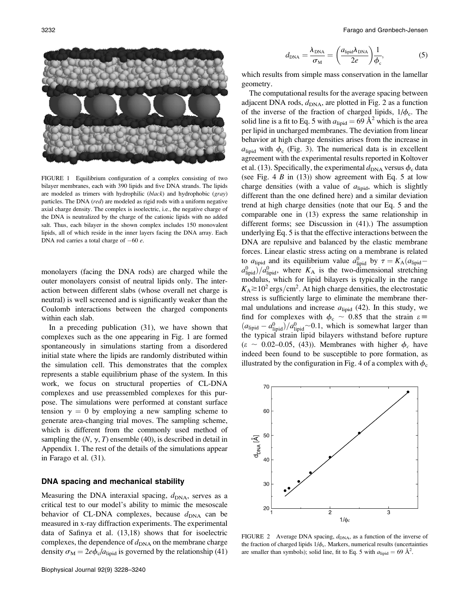3232 Farago and Grønbech-Jensen



FIGURE 1 Equilibrium configuration of a complex consisting of two bilayer membranes, each with 390 lipids and five DNA strands. The lipids are modeled as trimers with hydrophilic  $(black)$  and hydrophobic  $(qrav)$ particles. The DNA (red) are modeled as rigid rods with a uniform negative axial charge density. The complex is isoelectric, i.e., the negative charge of the DNA is neutralized by the charge of the cationic lipids with no added salt. Thus, each bilayer in the shown complex includes 150 monovalent lipids, all of which reside in the inner layers facing the DNA array. Each DNA rod carries a total charge of  $-60$  e.

monolayers (facing the DNA rods) are charged while the outer monolayers consist of neutral lipids only. The interaction between different slabs (whose overall net charge is neutral) is well screened and is significantly weaker than the Coulomb interactions between the charged components within each slab.

In a preceding publication (31), we have shown that complexes such as the one appearing in Fig. 1 are formed spontaneously in simulations starting from a disordered initial state where the lipids are randomly distributed within the simulation cell. This demonstrates that the complex represents a stable equilibrium phase of the system. In this work, we focus on structural properties of CL-DNA complexes and use preassembled complexes for this purpose. The simulations were performed at constant surface tension  $\gamma = 0$  by employing a new sampling scheme to generate area-changing trial moves. The sampling scheme, which is different from the commonly used method of sampling the  $(N, \gamma, T)$  ensemble (40), is described in detail in Appendix 1. The rest of the details of the simulations appear in Farago et al. (31).

### DNA spacing and mechanical stability

Measuring the DNA interaxial spacing,  $d_{\text{DNA}}$ , serves as a critical test to our model's ability to mimic the mesoscale behavior of CL-DNA complexes, because  $d_{\text{DNA}}$  can be measured in x-ray diffraction experiments. The experimental data of Safinya et al. (13,18) shows that for isoelectric complexes, the dependence of  $d_{\text{DNA}}$  on the membrane charge density  $\sigma_M = 2e\phi_c/a_{\text{lipid}}$  is governed by the relationship (41)

$$
d_{\text{DNA}} = \frac{\lambda_{\text{DNA}}}{\sigma_{\text{M}}} = \left(\frac{a_{\text{lipid}}\lambda_{\text{DNA}}}{2e}\right)\frac{1}{\phi_{\text{c}}},\tag{5}
$$

which results from simple mass conservation in the lamellar geometry.

The computational results for the average spacing between adjacent DNA rods,  $d_{\text{DNA}}$ , are plotted in Fig. 2 as a function of the inverse of the fraction of charged lipids,  $1/\phi_c$ . The solid line is a fit to Eq. 5 with  $a_{\text{lipid}} = 69 \text{ Å}^2$  which is the area per lipid in uncharged membranes. The deviation from linear behavior at high charge densities arises from the increase in  $a_{\text{lipid}}$  with  $\phi_c$  (Fig. 3). The numerical data is in excellent agreement with the experimental results reported in Koltover et al. (13). Specifically, the experimental  $d_{\text{DNA}}$  versus  $\phi_c$  data (see Fig. 4  $\hat{B}$  in (13)) show agreement with Eq. 5 at low charge densities (with a value of  $a<sub>lipid</sub>$ , which is slightly different than the one defined here) and a similar deviation trend at high charge densities (note that our Eq. 5 and the comparable one in (13) express the same relationship in different forms; see Discussion in (41).) The assumption underlying Eq. 5 is that the effective interactions between the DNA are repulsive and balanced by the elastic membrane forces. Linear elastic stress acting on a membrane is related to  $a_{\text{lipid}}$  and its equilibrium value  $a_{\text{lipid}}^0$  by  $\tau = K_A(a_{\text{lipid}}$  $a_{\text{lipid}}^0$ )/ $a_{\text{lipid}}^0$ , where  $K_A$  is the two-dimensional stretching modulus, which for lipid bilayers is typically in the range  $K_A \ge 10^2$  ergs/cm<sup>2</sup>. At high charge densities, the electrostatic stress is sufficiently large to eliminate the membrane thermal undulations and increase  $a<sub>lipid</sub>$  (42). In this study, we find for complexes with  $\phi_c \sim 0.85$  that the strain  $\varepsilon =$  $(a_{\text{lipid}} - a_{\text{lipid}}^0)/a_{\text{lipid}}^0 \sim 0.1$ , which is somewhat larger than the typical strain lipid bilayers withstand before rupture  $(\varepsilon \sim 0.02{\text -}0.05, (43))$ . Membranes with higher  $\phi_c$  have indeed been found to be susceptible to pore formation, as illustrated by the configuration in Fig. 4 of a complex with  $\phi_c$ 



FIGURE 2 Average DNA spacing,  $d_{\text{DNA}}$ , as a function of the inverse of the fraction of charged lipids  $1/\phi_c$ . Markers, numerical results (uncertainties are smaller than symbols); solid line, fit to Eq. 5 with  $a_{\text{lipid}} = 69 \text{ Å}^2$ .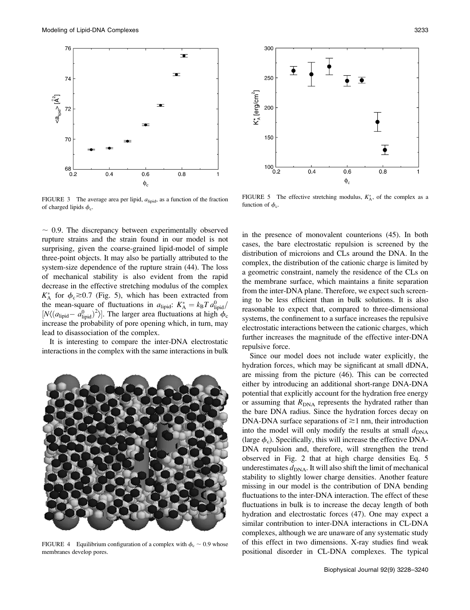

FIGURE 3 The average area per lipid,  $a<sub>lipid</sub>$ , as a function of the fraction of charged lipids  $\phi_c$ .

 $\sim$  0.9. The discrepancy between experimentally observed rupture strains and the strain found in our model is not surprising, given the coarse-grained lipid-model of simple three-point objects. It may also be partially attributed to the system-size dependence of the rupture strain (44). The loss of mechanical stability is also evident from the rapid decrease in the effective stretching modulus of the complex  $K_A^*$  for  $\phi_c \gtrsim 0.7$  (Fig. 5), which has been extracted from the mean-square of fluctuations in  $a_{\text{lipid}}$ :  $K_A^* = k_B T a_{\text{lipid}}^0$  $[N\langle (a_{\text{lipid}} - a_{\text{lipid}}^0)^2 \rangle]$ . The larger area fluctuations at high  $\phi_c$ increase the probability of pore opening which, in turn, may lead to disassociation of the complex.

It is interesting to compare the inter-DNA electrostatic interactions in the complex with the same interactions in bulk



FIGURE 4 Equilibrium configuration of a complex with  $\phi_c \sim 0.9$  whose membranes develop pores.



FIGURE 5 The effective stretching modulus,  $K_A^*$ , of the complex as a function of  $\phi_c$ .

in the presence of monovalent counterions (45). In both cases, the bare electrostatic repulsion is screened by the distribution of microions and CLs around the DNA. In the complex, the distribution of the cationic charge is limited by a geometric constraint, namely the residence of the CLs on the membrane surface, which maintains a finite separation from the inter-DNA plane. Therefore, we expect such screening to be less efficient than in bulk solutions. It is also reasonable to expect that, compared to three-dimensional systems, the confinement to a surface increases the repulsive electrostatic interactions between the cationic charges, which further increases the magnitude of the effective inter-DNA repulsive force.

Since our model does not include water explicitly, the hydration forces, which may be significant at small dDNA, are missing from the picture (46). This can be corrected either by introducing an additional short-range DNA-DNA potential that explicitly account for the hydration free energy or assuming that  $R_{\text{DNA}}$  represents the hydrated rather than the bare DNA radius. Since the hydration forces decay on DNA-DNA surface separations of  $\geq 1$  nm, their introduction into the model will only modify the results at small  $d_{\text{DNA}}$ (large  $\phi_c$ ). Specifically, this will increase the effective DNA-DNA repulsion and, therefore, will strengthen the trend observed in Fig. 2 that at high charge densities Eq. 5 underestimates  $d_{\text{DNA}}$ . It will also shift the limit of mechanical stability to slightly lower charge densities. Another feature missing in our model is the contribution of DNA bending fluctuations to the inter-DNA interaction. The effect of these fluctuations in bulk is to increase the decay length of both hydration and electrostatic forces (47). One may expect a similar contribution to inter-DNA interactions in CL-DNA complexes, although we are unaware of any systematic study of this effect in two dimensions. X-ray studies find weak positional disorder in CL-DNA complexes. The typical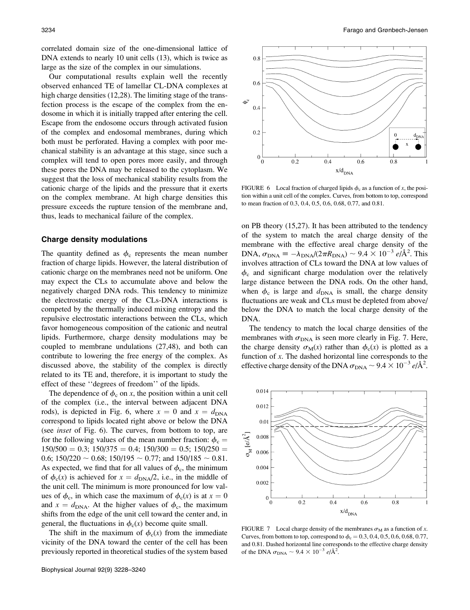correlated domain size of the one-dimensional lattice of DNA extends to nearly 10 unit cells (13), which is twice as large as the size of the complex in our simulations.

Our computational results explain well the recently observed enhanced TE of lamellar CL-DNA complexes at high charge densities (12,28). The limiting stage of the transfection process is the escape of the complex from the endosome in which it is initially trapped after entering the cell. Escape from the endosome occurs through activated fusion of the complex and endosomal membranes, during which both must be perforated. Having a complex with poor mechanical stability is an advantage at this stage, since such a complex will tend to open pores more easily, and through these pores the DNA may be released to the cytoplasm. We suggest that the loss of mechanical stability results from the cationic charge of the lipids and the pressure that it exerts on the complex membrane. At high charge densities this pressure exceeds the rupture tension of the membrane and, thus, leads to mechanical failure of the complex.

#### Charge density modulations

The quantity defined as  $\phi_c$  represents the mean number fraction of charge lipids. However, the lateral distribution of cationic charge on the membranes need not be uniform. One may expect the CLs to accumulate above and below the negatively charged DNA rods. This tendency to minimize the electrostatic energy of the CLs-DNA interactions is competed by the thermally induced mixing entropy and the repulsive electrostatic interactions between the CLs, which favor homogeneous composition of the cationic and neutral lipids. Furthermore, charge density modulations may be coupled to membrane undulations (27,48), and both can contribute to lowering the free energy of the complex. As discussed above, the stability of the complex is directly related to its TE and, therefore, it is important to study the effect of these ''degrees of freedom'' of the lipids.

The dependence of  $\phi_c$  on x, the position within a unit cell of the complex (i.e., the interval between adjacent DNA rods), is depicted in Fig. 6, where  $x = 0$  and  $x = d_{\text{DNA}}$ correspond to lipids located right above or below the DNA (see inset of Fig. 6). The curves, from bottom to top, are for the following values of the mean number fraction:  $\phi_c =$  $150/500 = 0.3$ ;  $150/375 = 0.4$ ;  $150/300 = 0.5$ ;  $150/250 =$ 0.6;  $150/220 \sim 0.68$ ;  $150/195 \sim 0.77$ ; and  $150/185 \sim 0.81$ . As expected, we find that for all values of  $\phi_c$ , the minimum of  $\phi_c(x)$  is achieved for  $x = d_{\text{DNA}}/2$ , i.e., in the middle of the unit cell. The minimum is more pronounced for low values of  $\phi_c$ , in which case the maximum of  $\phi_c(x)$  is at  $x = 0$ and  $x = d_{\text{DNA}}$ . At the higher values of  $\phi_c$ , the maximum shifts from the edge of the unit cell toward the center and, in general, the fluctuations in  $\phi_c(x)$  become quite small.

The shift in the maximum of  $\phi_c(x)$  from the immediate vicinity of the DNA toward the center of the cell has been previously reported in theoretical studies of the system based



FIGURE 6 Local fraction of charged lipids  $\phi_c$  as a function of x, the position within a unit cell of the complex. Curves, from bottom to top, correspond to mean fraction of 0.3, 0.4, 0.5, 0.6, 0.68, 0.77, and 0.81.

on PB theory (15,27). It has been attributed to the tendency of the system to match the areal charge density of the membrane with the effective areal charge density of the DNA,  $\sigma_{\text{DNA}} \equiv -\lambda_{\text{DNA}}/(2\pi R_{\text{DNA}}) \sim 9.4 \times 10^{-3} \text{ e}/\text{\AA}^2$ . This involves attraction of CLs toward the DNA at low values of  $\phi_c$  and significant charge modulation over the relatively large distance between the DNA rods. On the other hand, when  $\phi_c$  is large and  $d_{\text{DNA}}$  is small, the charge density fluctuations are weak and CLs must be depleted from above/ below the DNA to match the local charge density of the DNA.

The tendency to match the local charge densities of the membranes with  $\sigma_{\text{DNA}}$  is seen more clearly in Fig. 7. Here, the charge density  $\sigma_M(x)$  rather than  $\phi_c(x)$  is plotted as a function of x. The dashed horizontal line corresponds to the effective charge density of the DNA  $\sigma_{\text{DNA}} \sim 9.4 \times 10^{-3} e/A^2$ .



FIGURE 7 Local charge density of the membranes  $\sigma_M$  as a function of x. Curves, from bottom to top, correspond to  $\phi_c = 0.3, 0.4, 0.5, 0.6, 0.68, 0.77$ , and 0.81. Dashed horizontal line corresponds to the effective charge density of the DNA  $\sigma_{\text{DNA}} \sim 9.4 \times 10^{-3} e/\text{\AA}^2$ .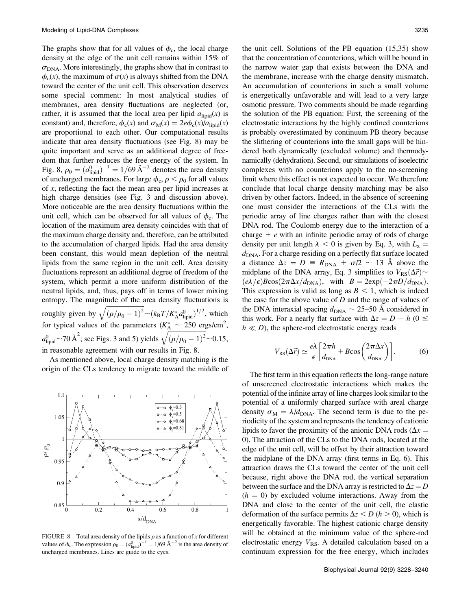The graphs show that for all values of  $\phi_c$ , the local charge density at the edge of the unit cell remains within 15% of  $\sigma_{\text{DNA}}$ . More interestingly, the graphs show that in contrast to  $\phi_c(x)$ , the maximum of  $\sigma(x)$  is always shifted from the DNA toward the center of the unit cell. This observation deserves some special comment: In most analytical studies of membranes, area density fluctuations are neglected (or, rather, it is assumed that the local area per lipid  $a_{\text{lipid}}(x)$  is constant) and, therefore,  $\phi_c(x)$  and  $\sigma_M(x) = 2e\phi_c(x)/a_{\text{lipid}}(x)$ are proportional to each other. Our computational results indicate that area density fluctuations (see Fig. 8) may be quite important and serve as an additional degree of freedom that further reduces the free energy of the system. In Fig. 8,  $\rho_0 = (a_{\text{lipid}}^0)^{-1} = 1/69 \text{ Å}^{-2}$  denotes the area density of uncharged membranes. For large  $\phi_c$ ,  $\rho < \rho_0$  for all values of  $x$ , reflecting the fact the mean area per lipid increases at high charge densities (see Fig. 3 and discussion above). More noticeable are the area density fluctuations within the unit cell, which can be observed for all values of  $\phi_c$ . The location of the maximum area density coincides with that of the maximum charge density and, therefore, can be attributed to the accumulation of charged lipids. Had the area density been constant, this would mean depletion of the neutral lipids from the same region in the unit cell. Area density fluctuations represent an additional degree of freedom of the system, which permit a more uniform distribution of the neutral lipids, and, thus, pays off in terms of lower mixing entropy. The magnitude of the area density fluctuations is roughly given by ffiffiffiffiffiffiffiffiffiffi $\frac{1}{2}$  $\sqrt{(p/p_0 - 1)^2}$  $\sim (k_{\rm B}T/K_{\rm A}^* a_{\rm lipid}^0)^{1/2}$ , which for typical values of the parameters ( $K_A^* \sim 250$  ergs/cm<sup>2</sup>,  $a_{\text{lipid}}^0$ ~70 Å $^2$ ; see Figs. 3 and 5) yields  $\frac{f(x)}{f(x)}$  $\sqrt{\left(\frac{\rho}{\rho_0-1}\right)^2}$  $\sim 0.15,$ in reasonable agreement with our results in Fig. 8.

As mentioned above, local charge density matching is the origin of the CLs tendency to migrate toward the middle of



FIGURE 8 Total area density of the lipids  $\rho$  as a function of x for different values of  $\phi_c$ . The expression  $\rho_0 = (a_{\text{lipid}}^0)^{-1} = 1/69 \text{ Å}^{-2}$  is the area density of uncharged membranes. Lines are guide to the eyes.

the unit cell. Solutions of the PB equation (15,35) show that the concentration of counterions, which will be bound in the narrow water gap that exists between the DNA and the membrane, increase with the charge density mismatch. An accumulation of counterions in such a small volume is energetically unfavorable and will lead to a very large osmotic pressure. Two comments should be made regarding the solution of the PB equation: First, the screening of the electrostatic interactions by the highly confined counterions is probably overestimated by continuum PB theory because the slithering of counterions into the small gaps will be hindered both dynamically (excluded volume) and thermodynamically (dehydration). Second, our simulations of isoelectric complexes with no counterions apply to the no-screening limit where this effect is not expected to occur. We therefore conclude that local charge density matching may be also driven by other factors. Indeed, in the absence of screening one must consider the interactions of the CLs with the periodic array of line charges rather than with the closest DNA rod. The Coulomb energy due to the interaction of a charge  $+ e$  with an infinite periodic array of rods of charge density per unit length  $\lambda < 0$  is given by Eq. 3, with  $L_x =$  $d_{\text{DNA}}$ . For a charge residing on a perfectly flat surface located a distance  $\Delta z = D = R_{\text{DNA}} + \sigma/2 \sim 13$  Å above the midplane of the DNA array, Eq. 3 simplifies to  $V_{RS}(\Delta \vec{r}) \sim$  $(e\lambda/\epsilon)B\cos(2\pi\Delta x/d_{\text{DNA}}), \text{ with } B = 2\exp(-2\pi D/d_{\text{DNA}}).$ This expression is valid as long as  $B < 1$ , which is indeed the case for the above value of  $D$  and the range of values of the DNA interaxial spacing  $d_{\text{DNA}} \sim 25{\text -}50$  Å considered in this work. For a nearly flat surface with  $\Delta z = D - h$  (0  $\leq$  $h \ll D$ ), the sphere-rod electrostatic energy reads

$$
V_{\rm RS}(\Delta \vec{r}) \simeq \frac{e\lambda}{\epsilon} \left[ \frac{2\pi h}{d_{\rm DNA}} + B \cos \left( \frac{2\pi \Delta x}{d_{\rm DNA}} \right) \right]. \tag{6}
$$

The first term in this equation reflects the long-range nature of unscreened electrostatic interactions which makes the potential of the infinite array of line charges look similar to the potential of a uniformly charged surface with areal charge density  $\sigma_M = \lambda/d_{\text{DNA}}$ . The second term is due to the periodicity of the system and represents the tendency of cationic lipids to favor the proximity of the anionic DNA rods ( $\Delta x =$ 0). The attraction of the CLs to the DNA rods, located at the edge of the unit cell, will be offset by their attraction toward the midplane of the DNA array (first terms in Eq. 6). This attraction draws the CLs toward the center of the unit cell because, right above the DNA rod, the vertical separation between the surface and the DNA array is restricted to  $\Delta z = D$  $(h = 0)$  by excluded volume interactions. Away from the DNA and close to the center of the unit cell, the elastic deformation of the surface permits  $\Delta z < D$  ( $h > 0$ ), which is energetically favorable. The highest cationic charge density will be obtained at the minimum value of the sphere-rod electrostatic energy  $V_{RS}$ . A detailed calculation based on a continuum expression for the free energy, which includes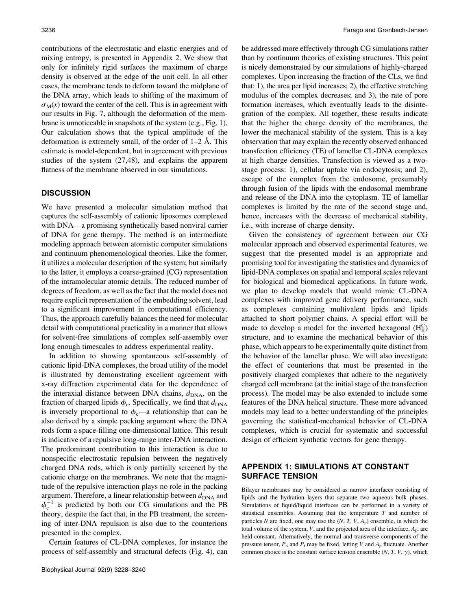contributions of the electrostatic and elastic energies and of mixing entropy, is presented in Appendix 2. We show that only for infinitely rigid surfaces the maximum of charge density is observed at the edge of the unit cell. In all other cases, the membrane tends to deform toward the midplane of the DNA array, which leads to shifting of the maximum of  $\sigma<sub>M</sub>(x)$  toward the center of the cell. This is in agreement with our results in Fig. 7, although the deformation of the membrane is unnoticeable in snapshots of the system (e.g., Fig. 1). Our calculation shows that the typical amplitude of the deformation is extremely small, of the order of  $1-2$  Å. This estimate is model-dependent, but in agreement with previous studies of the system (27,48), and explains the apparent flatness of the membrane observed in our simulations.

### **DISCUSSION**

We have presented a molecular simulation method that captures the self-assembly of cationic liposomes complexed with DNA—a promising synthetically based nonviral carrier of DNA for gene therapy. The method is an intermediate modeling approach between atomistic computer simulations and continuum phenomenological theories. Like the former, it utilizes a molecular description of the system; but similarly to the latter, it employs a coarse-grained (CG) representation of the intramolecular atomic details. The reduced number of degrees of freedom, as well as the fact that the model does not require explicit representation of the embedding solvent, lead to a significant improvement in computational efficiency. Thus, the approach carefully balances the need for molecular detail with computational practicality in a manner that allows for solvent-free simulations of complex self-assembly over long enough timescales to address experimental reality.

In addition to showing spontaneous self-assembly of cationic lipid-DNA complexes, the broad utility of the model is illustrated by demonstrating excellent agreement with x-ray diffraction experimental data for the dependence of the interaxial distance between DNA chains,  $d_{\text{DNA}}$ , on the fraction of charged lipids  $\phi_c$ . Specifically, we find that  $d_{DNA}$ is inversely proportional to  $\phi_c$ —a relationship that can be also derived by a simple packing argument where the DNA rods form a space-filling one-dimensional lattice. This result is indicative of a repulsive long-range inter-DNA interaction. The predominant contribution to this interaction is due to nonspecific electrostatic repulsion between the negatively charged DNA rods, which is only partially screened by the cationic charge on the membranes. We note that the magnitude of the repulsive interaction plays no role in the packing argument. Therefore, a linear relationship between  $d_{DNA}$  and  $\phi_c^{-1}$  is predicted by both our CG simulations and the PB theory, despite the fact that, in the PB treatment, the screening of inter-DNA repulsion is also due to the counterions presented in the complex.

Certain features of CL-DNA complexes, for instance the process of self-assembly and structural defects (Fig. 4), can

be addressed more effectively through CG simulations rather than by continuum theories of existing structures. This point is nicely demonstrated by our simulations of highly-charged complexes. Upon increasing the fraction of the CLs, we find that: 1), the area per lipid increases; 2), the effective stretching modulus of the complex decreases; and 3), the rate of pore formation increases, which eventually leads to the disintegration of the complex. All together, these results indicate that the higher the charge density of the membranes, the lower the mechanical stability of the system. This is a key observation that may explain the recently observed enhanced transfection efficiency (TE) of lamellar CL-DNA complexes at high charge densities. Transfection is viewed as a twostage process: 1), cellular uptake via endocytosis; and 2), escape of the complex from the endosome, presumably through fusion of the lipids with the endosomal membrane and release of the DNA into the cytoplasm. TE of lamellar complexes is limited by the rate of the second stage and, hence, increases with the decrease of mechanical stability, i.e., with increase of charge density.

Given the consistency of agreement between our CG molecular approach and observed experimental features, we suggest that the presented model is an appropriate and promising tool for investigating the statistics and dynamics of lipid-DNA complexes on spatial and temporal scales relevant for biological and biomedical applications. In future work, we plan to develop models that would mimic CL-DNA complexes with improved gene delivery performance, such as complexes containing multivalent lipids and lipids attached to short polymer chains. A special effort will be made to develop a model for the inverted hexagonal  $(H_{II}^C)$ structure, and to examine the mechanical behavior of this phase, which appears to be experimentally quite distinct from the behavior of the lamellar phase. We will also investigate the effect of counterions that must be presented in the positively charged complexes that adhere to the negatively charged cell membrane (at the initial stage of the transfection process). The model may be also extended to include some features of the DNA helical structure. These more advanced models may lead to a better understanding of the principles governing the statistical-mechanical behavior of CL-DNA complexes, which is crucial for systematic and successful design of efficient synthetic vectors for gene therapy.

# APPENDIX 1: SIMULATIONS AT CONSTANT SURFACE TENSION

Bilayer membranes may be considered as narrow interfaces consisting of lipids and the hydration layers that separate two aqueous bulk phases. Simulations of liquid/liquid interfaces can be performed in a variety of statistical ensembles. Assuming that the temperature  $T$  and number of particles N are fixed, one may use the  $(N, T, V, A_p)$  ensemble, in which the total volume of the system,  $V$ , and the projected area of the interface,  $A_p$ , are held constant. Alternatively, the normal and transverse components of the pressure tensor,  $P_n$  and  $P_t$  may be fixed, letting V and  $A_p$  fluctuate. Another common choice is the constant surface tension ensemble  $(N, T, V, \gamma)$ , which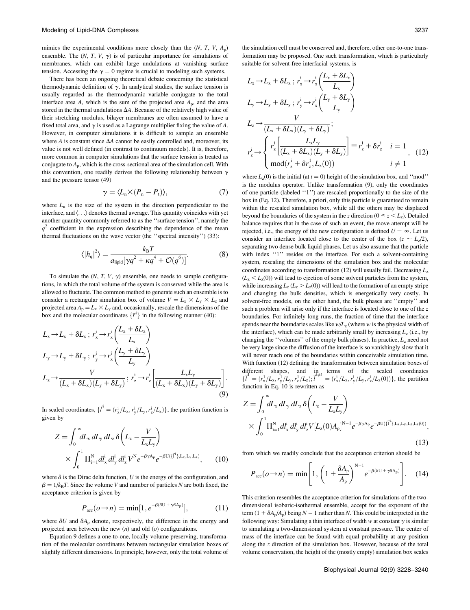mimics the experimental conditions more closely than the  $(N, T, V, A<sub>n</sub>)$ ensemble. The  $(N, T, V, \gamma)$  is of particular importance for simulations of membranes, which can exhibit large undulations at vanishing surface tension. Accessing the  $\gamma = 0$  regime is crucial to modeling such systems.

There has been an ongoing theoretical debate concerning the statistical thermodynamic definition of  $\gamma$ . In analytical studies, the surface tension is usually regarded as the thermodynamic variable conjugate to the total interface area  $A$ , which is the sum of the projected area  $A_p$ , and the area stored in the thermal undulations  $\Delta A$ . Because of the relatively high value of their stretching modulus, bilayer membranes are often assumed to have a fixed total area, and  $\gamma$  is used as a Lagrange multiplier fixing the value of A. However, in computer simulations it is difficult to sample an ensemble where  $A$  is constant since  $\Delta A$  cannot be easily controlled and, moreover, its value is not well defined (in contrast to continuum models). It is, therefore, more common in computer simulations that the surface tension is treated as conjugate to  $A_p$ , which is the cross-sectional area of the simulation cell. With this convention, one readily derives the following relationship between  $\gamma$ and the pressure tensor (49)

$$
\gamma = \langle L_{\rm n} \times (P_{\rm n} - P_{\rm t}) \rangle, \tag{7}
$$

where  $L_n$  is the size of the system in the direction perpendicular to the interface, and  $\langle \ldots \rangle$  denotes thermal average. This quantity coincides with yet another quantity commonly referred to as the ''surface tension'', namely the  $q<sup>2</sup>$  coefficient in the expression describing the dependence of the mean thermal fluctuations on the wave vector (the ''spectral intensity'') (33):

$$
\langle |h_{\mathbf{q}}|^2 \rangle = \frac{k_{\mathbf{B}}T}{a_{\text{lipid}}[\gamma q^2 + \kappa q^4 + \mathcal{O}(q^6)]}.
$$
 (8)

To simulate the  $(N, T, V, \gamma)$  ensemble, one needs to sample configurations, in which the total volume of the system is conserved while the area is allowed to fluctuate. The common method to generate such an ensemble is to consider a rectangular simulation box of volume  $V = L_{x} \times L_{y} \times L_{z}$  and projected area  $A_p = L_x \times L_y$  and, occasionally, rescale the dimensions of the box and the molecular coordinates  $\{\vec{r}^i\}$  in the following manner (40):

$$
L_{x} \rightarrow L_{x} + \delta L_{x} ; r_{x}^{i} \rightarrow r_{x}^{i} \left( \frac{L_{x} + \delta L_{x}}{L_{x}} \right)
$$
  
\n
$$
L_{y} \rightarrow L_{y} + \delta L_{y} ; r_{y}^{i} \rightarrow r_{x}^{i} \left( \frac{L_{y} + \delta L_{y}}{L_{y}} \right)
$$
  
\n
$$
L_{z} \rightarrow \frac{V}{(L_{x} + \delta L_{x})(L_{y} + \delta L_{y})} ; r_{z}^{i} \rightarrow r_{z}^{i} \left[ \frac{L_{x}L_{y}}{(L_{x} + \delta L_{x})(L_{y} + \delta L_{y})} \right].
$$
  
\n(9)

In scaled coordinates,  $\{\vec{l}^i = (r_x^i/L_x, r_y^i/L_y, r_z^i/L_z)\}\$ , the partition function is given by

$$
Z = \int_0^\infty dL_x \, dL_y \, dL_z \, \delta \left( L_z - \frac{V}{L_x L_y} \right)
$$

$$
\times \int_0^1 \Pi_{i=1}^N d\dot{l}_x \, d\dot{l}_y \, d\dot{l}_z \, V^N e^{-\beta \gamma A_p} e^{-\beta U(\{\dot{l}}^i\}, L_x, L_y, L_z)}, \qquad (10)
$$

where  $\delta$  is the Dirac delta function, U is the energy of the configuration, and  $\beta = 1/k_B T$ . Since the volume V and number of particles N are both fixed, the acceptance criterion is given by

$$
P_{\rm acc}(o \to n) = \min[1, e^{-\beta(\delta U + \gamma \delta A_{\rm p})}], \tag{11}
$$

where  $\delta U$  and  $\delta A_p$  denote, respectively, the difference in the energy and projected area between the new  $(n)$  and old  $(o)$  configurations.

Equation 9 defines a one-to-one, locally volume preserving, transformation of the molecular coordinates between rectangular simulation boxes of slightly different dimensions. In principle, however, only the total volume of

the simulation cell must be conserved and, therefore, other one-to-one transformation may be proposed. One such transformation, which is particularly suitable for solvent-free interfacial systems, is

$$
L_{x} \rightarrow L_{x} + \delta L_{x} ; r_{x}^{i} \rightarrow r_{x}^{i} \left( \frac{L_{x} + \delta L_{x}}{L_{x}} \right)
$$
  
\n
$$
L_{y} \rightarrow L_{y} + \delta L_{y} ; r_{y}^{i} \rightarrow r_{x}^{i} \left( \frac{L_{y} + \delta L_{y}}{L_{y}} \right)
$$
  
\n
$$
L_{z} \rightarrow \frac{V}{(L_{x} + \delta L_{x})(L_{y} + \delta L_{y})};
$$
  
\n
$$
r_{z}^{i} \rightarrow \left\{ r_{z}^{i} \left[ \frac{L_{x}L_{y}}{(L_{x} + \delta L_{x})(L_{y} + \delta L_{y})} \right] \equiv r_{z}^{i} + \delta r_{z}^{i} \quad i = 1, (12)
$$
  
\n
$$
\mod (r_{z}^{i} + \delta r_{z}^{i}, L_{z}(0)) \qquad i \neq 1
$$

where  $L<sub>z</sub>(0)$  is the initial (at  $t = 0$ ) height of the simulation box, and "mod" is the modulus operator. Unlike transformation (9), only the coordinates of one particle (labeled ''1'') are rescaled proportionally to the size of the box in (Eq. 12). Therefore, a priori, only this particle is guaranteed to remain within the rescaled simulation box, while all the others may be displaced beyond the boundaries of the system in the z direction ( $0 \le z \le L_z$ ). Detailed balance requires that in the case of such an event, the move attempt will be rejected, i.e., the energy of the new configuration is defined  $U = \infty$ . Let us consider an interface located close to the center of the box ( $z \sim L_2/2$ ), separating two dense bulk liquid phases. Let us also assume that the particle with index "1" resides on the interface. For such a solvent-containing system, rescaling the dimensions of the simulation box and the molecular coordinates according to transformation (12) will usually fail. Decreasing  $L_z$  $(L_{z} < L_{z}(0))$  will lead to ejection of some solvent particles from the system, while increasing  $L_z$  ( $L_z > L_z(0)$ ) will lead to the formation of an empty stripe and changing the bulk densities, which is energetically very costly. In solvent-free models, on the other hand, the bulk phases are ''empty'' and such a problem will arise only if the interface is located close to one of the z boundaries. For infinitely long runs, the fraction of time that the interface spends near the boundaries scales like  $w/L_z$  (where w is the physical width of the interface), which can be made arbitrarily small by increasing  $L_z$  (i.e., by changing the "volumes" of the empty bulk phases). In practice,  $L<sub>z</sub>$  need not be very large since the diffusion of the interface is so vanishingly slow that it will never reach one of the boundaries within conceivable simulation time. With function (12) defining the transformation between simulation boxes of different shapes, and in terms of the scaled coordinates  $\{\overline{l}^1 = (r_x^1/L_x, r_y^1/L_y, r_z^1/L_z)\}$   $\overline{l}^{\dagger \neq 1} = (r_x^1/L_x, r_y^1/L_y, r_z^1/L_z(0))\}$ , the partition function in Eq. 10 is rewritten as

$$
Z = \int_0^{\infty} dL_x \, dL_y \, dL_z \, \delta \left( L_z - \frac{V}{L_x L_y} \right)
$$
  
 
$$
\times \int_0^1 \Pi_{i=1}^N dI_x^i \, dI_y^i \, dI_z^i V [L_z(0)A_p]^{N-1} e^{-\beta \gamma A_p} e^{-\beta U(\{\vec{1}^i\}, L_x, L_y, L_z, L_z(0))},
$$
(13)

from which we readily conclude that the acceptance criterion should be

$$
P_{\rm acc}(o \to n) = \min\left[1, \left(1 + \frac{\delta A_{\rm p}}{A_{\rm p}}\right)^{N-1} e^{-\beta(\delta U + \gamma \delta A_{\rm p})}\right].
$$
 (14)

This criterion resembles the acceptance criterion for simulations of the twodimensional isobaric-isothermal ensemble, accept for the exponent of the term  $(1 + \delta A_p/A_p)$  being  $N - 1$  rather than N. This could be interpreted in the following way: Simulating a thin interface of width w at constant  $\gamma$  is similar to simulating a two-dimensional system at constant pressure. The center of mass of the interface can be found with equal probability at any position along the z direction of the simulation box. However, because of the total volume conservation, the height of the (mostly empty) simulation box scales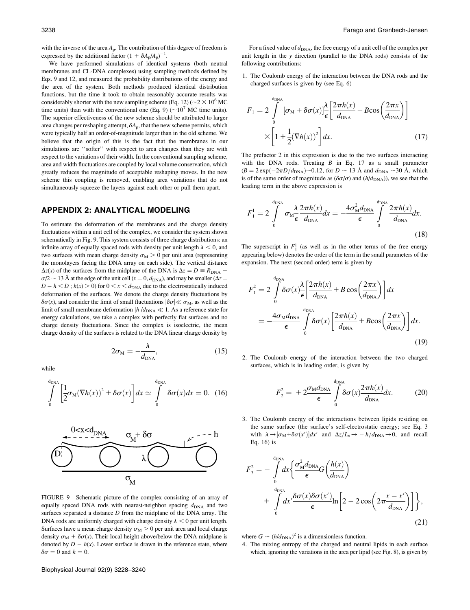with the inverse of the area  $A_p$ . The contribution of this degree of freedom is expressed by the additional factor  $(1 + \delta A_p/A_p)^{-1}$ .

We have performed simulations of identical systems (both neutral membranes and CL-DNA complexes) using sampling methods defined by Eqs. 9 and 12, and measured the probability distributions of the energy and the area of the system. Both methods produced identical distribution functions, but the time it took to obtain reasonably accurate results was considerably shorter with the new sampling scheme (Eq. 12) ( $\sim$ 2  $\times$  10<sup>6</sup> MC time units) than with the conventional one (Eq. 9) ( $\sim 10^7$  MC time units). The superior effectiveness of the new scheme should be attributed to larger area changes per reshaping attempt,  $\delta A_p$ , that the new scheme permits, which were typically half an order-of-magnitude larger than in the old scheme. We believe that the origin of this is the fact that the membranes in our simulations are ''softer'' with respect to area changes than they are with respect to the variations of their width. In the conventional sampling scheme, area and width fluctuations are coupled by local volume conservation, which greatly reduces the magnitude of acceptable reshaping moves. In the new scheme this coupling is removed, enabling area variations that do not simultaneously squeeze the layers against each other or pull them apart.

## APPENDIX 2: ANALYTICAL MODELING

To estimate the deformation of the membranes and the charge density fluctuations within a unit cell of the complex, we consider the system shown schematically in Fig. 9. This system consists of three charge distributions: an infinite array of equally spaced rods with density per unit length  $\lambda < 0$ , and two surfaces with mean charge density  $\sigma_M > 0$  per unit area (representing the monolayers facing the DNA array on each side). The vertical distance  $\Delta z(x)$  of the surfaces from the midplane of the DNA is  $\Delta z = D \equiv R_{\text{DNA}} +$  $\sigma/2 \sim 13$  Å at the edge of the unit cell ( $x = 0$ ,  $d_{\text{DNA}}$ ), and may be smaller ( $\Delta z =$  $D - h < D$ ;  $h(x) > 0$ ) for  $0 < x < d_{DNA}$  due to the electrostatically induced deformation of the surfaces. We denote the charge density fluctuations by  $\delta\sigma(x)$ , and consider the limit of small fluctuations  $|\delta\sigma| \ll \sigma_M$ , as well as the limit of small membrane deformation  $|h|/d_{\text{DNA}} \ll 1$ . As a reference state for energy calculations, we take a complex with perfectly flat surfaces and no charge density fluctuations. Since the complex is isoelectric, the mean charge density of the surfaces is related to the DNA linear charge density by

$$
2\sigma_{\rm M} = -\frac{\lambda}{d_{\rm DNA}},\tag{15}
$$

while

$$
\int_{0}^{\text{dDNA}} \left[ \frac{1}{2} \sigma_{\text{M}} (\nabla h(x))^{2} + \delta \sigma(x) \right] dx \simeq \int_{0}^{\text{dDNA}} \delta \sigma(x) dx = 0. \quad (16)
$$



FIGURE 9 Schematic picture of the complex consisting of an array of equally spaced DNA rods with nearest-neighbor spacing  $d_{\text{DNA}}$  and two surfaces separated a distance D from the midplane of the DNA array. The DNA rods are uniformly charged with charge density  $\lambda < 0$  per unit length. Surfaces have a mean charge density  $\sigma_M > 0$  per unit area and local charge density  $\sigma_M + \delta \sigma(x)$ . Their local height above/below the DNA midplane is denoted by  $D - h(x)$ . Lower surface is drawn in the reference state, where  $\delta \sigma = 0$  and  $h = 0$ .

For a fixed value of  $d_{\text{DNA}}$ , the free energy of a unit cell of the complex per unit length in the y direction (parallel to the DNA rods) consists of the following contributions:

1. The Coulomb energy of the interaction between the DNA rods and the charged surfaces is given by (see Eq. 6)

$$
F_1 = 2 \int_0^{\text{d}_{\text{DNA}}} [\sigma_{\text{M}} + \delta \sigma(x)] \frac{\lambda}{\epsilon} \left[ \frac{2\pi h(x)}{d_{\text{DNA}}} + B \cos\left(\frac{2\pi x}{d_{\text{DNA}}}\right) \right]
$$

$$
\times \left[ 1 + \frac{1}{2} (\nabla h(x))^2 \right] dx. \tag{17}
$$

The prefactor 2 in this expression is due to the two surfaces interacting with the DNA rods. Treating  $B$  in Eq. 17 as a small parameter  $(B = 2 \exp(-2\pi D/d_{\text{DNA}}) \sim 0.12$ , for  $D \sim 13 \text{ Å}$  and  $d_{\text{DNA}} \sim 30 \text{ Å}$ , which is of the same order of magnitude as  $(\delta\sigma/\sigma)$  and  $(h/d_{\text{DNA}})$ ), we see that the leading term in the above expression is

$$
F_1^1 = 2 \int_0^{\text{dp}_{\text{NA}}} \sigma_{\text{M}} \frac{\lambda}{\epsilon} \frac{2\pi h(x)}{d_{\text{DNA}}} dx = -\frac{4\sigma_{\text{M}}^2 d_{\text{DNA}}}{\epsilon} \int_0^{\text{dp}_{\text{NA}}} \frac{2\pi h(x)}{d_{\text{DNA}}} dx. \tag{18}
$$

The superscript in  $F_1^1$  (as well as in the other terms of the free energy appearing below) denotes the order of the term in the small parameters of the expansion. The next (second-order) term is given by

$$
F_1^2 = 2 \int_0^{\text{dp}_{\text{NA}}} \delta \sigma(x) \frac{\lambda}{\epsilon} \left[ \frac{2\pi h(x)}{d_{\text{DNA}}} + B \cos\left(\frac{2\pi x}{d_{\text{DNA}}}\right) \right] dx
$$
  
= 
$$
-\frac{4\sigma_{\text{M}} d_{\text{DNA}}}{\epsilon} \int_0^{\text{dp}_{\text{NA}}} \delta \sigma(x) \left[ \frac{2\pi h(x)}{d_{\text{DNA}}} + B \cos\left(\frac{2\pi x}{d_{\text{DNA}}}\right) \right] dx.
$$
 (19)

2. The Coulomb energy of the interaction between the two charged surfaces, which is in leading order, is given by

$$
F_2^2 = +2\frac{\sigma_{\rm M}d_{\rm DNA}}{\epsilon} \int\limits_{0}^{d_{\rm DNA}} \delta\sigma(x) \frac{2\pi h(x)}{d_{\rm DNA}} dx.
$$
 (20)

3. The Coulomb energy of the interactions between lipids residing on the same surface (the surface's self-electrostatic energy; see Eq. 3 with  $\lambda \rightarrow [\sigma_M + \delta \sigma(x')] dx'$  and  $\Delta z / L_x \rightarrow -h/d_{DNA} \rightarrow 0$ , and recall Eq. 16) is

$$
F_3^2 = -\int_0^{d_{\text{DNA}}} dx \left\{ \frac{\sigma_{\text{M}}^2 d_{\text{DNA}}}{\epsilon} G \left( \frac{h(x)}{d_{\text{DNA}}} \right) + \int_0^{d_{\text{DNA}}} dx' \frac{\delta \sigma(x) \delta \sigma(x')}{\epsilon} \ln \left[ 2 - 2 \cos \left( 2 \pi \frac{x - x'}{d_{\text{DNA}}} \right) \right] \right\},\tag{21}
$$

where  $G \sim (h/d_{\text{DNA}})^2$  is a dimensionless function.

4. The mixing entropy of the charged and neutral lipids in each surface which, ignoring the variations in the area per lipid (see Fig. 8), is given by

Biophysical Journal 92(9) 3228–3240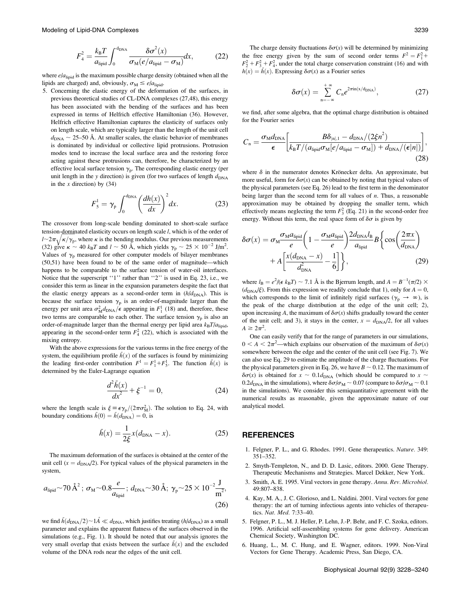$$
F_4^2 = \frac{k_{\rm B}T}{a_{\rm lipid}} \int_0^{d_{\rm DNA}} \frac{\delta \sigma^2(x)}{\sigma_{\rm M}(e/a_{\rm lipid} - \sigma_{\rm M})} dx, \tag{22}
$$

where  $e/a<sub>lipid</sub>$  is the maximum possible charge density (obtained when all the lipids are charged) and, obviously,  $\sigma_M \leq e/a_{\text{lipid}}$ .

5. Concerning the elastic energy of the deformation of the surfaces, in previous theoretical studies of CL-DNA complexes (27,48), this energy has been associated with the bending of the surfaces and has been expressed in terms of Helfrich effective Hamiltonian (36). However, Helfrich effective Hamiltonian captures the elasticity of surfaces only on length scale, which are typically larger than the length of the unit cell  $d_{\text{DNA}} \sim 25-50$  Å. At smaller scales, the elastic behavior of membranes is dominated by individual or collective lipid protrusions. Protrusion modes tend to increase the local surface area and the restoring force acting against these protrusions can, therefore, be characterized by an effective local surface tension  $\gamma_p$ . The corresponding elastic energy (per unit length in the y direction) is given (for two surfaces of length  $d_{\text{DNA}}$ in the  $x$  direction) by  $(34)$ 

$$
F_s^1 = \gamma_p \int_0^{d_{\text{DNA}}} \left(\frac{dh(x)}{dx}\right)^2 dx.
$$
 (23)

The crossover from long-scale bending dominated to short-scale surface tension-dominated elasticity occurs on length scale  $l$ , which is of the order of  $l \sim 2\pi \sqrt{\kappa/\gamma_p}$ , where  $\kappa$  is the bending modulus. Our previous measurements (32) give  $\kappa \sim 40$   $k_BT$  and  $l \sim 50$  Å, which yields  $\gamma_p \sim 25 \times 10^{-2}$  J/m<sup>2</sup>. Values of  $\gamma_p$  measured for other computer models of bilayer membranes (50,51) have been found to be of the same order of magnitude—which happens to be comparable to the surface tension of water-oil interfaces. Notice that the superscript "1" rather than "2" is used in Eq. 23, i.e., we consider this term as linear in the expansion parameters despite the fact that the elastic energy appears as a second-order term in  $(h/d_{\text{DNA}})$ . This is because the surface tension  $\gamma_p$  is an order-of-magnitude larger than the energy per unit area  $\sigma_M^2 d_{\text{DNA}}/\epsilon$  appearing in  $F_1^1$  (18) and, therefore, these two terms are comparable to each other. The surface tension  $\gamma_p$  is also an order-of-magnitude larger than the thermal energy per lipid area  $k_B T/a_{\text{lipid}}$ , appearing in the second-order term  $F_4^2$  (22), which is associated with the mixing entropy.

With the above expressions for the various terms in the free energy of the system, the equilibrium profile  $\tilde{h}(x)$  of the surfaces is found by minimizing the leading first-order contribution  $F^1 = F_1^1 + F_5^1$ . The function  $\tilde{h}(x)$  is determined by the Euler-Lagrange equation

$$
\frac{d^2\tilde{h}(x)}{dx^2} + \xi^{-1} = 0,
$$
\n(24)

where the length scale is  $\xi = \epsilon \gamma_p / (2\pi \sigma_M^2)$ . The solution to Eq. 24, with boundary conditions  $\tilde{h}(0) = \tilde{h}(d_{\text{DNA}}) = 0$ , is

$$
\tilde{h}(x) = \frac{1}{2\xi}x(d_{\text{DNA}} - x).
$$
 (25)

The maximum deformation of the surfaces is obtained at the center of the unit cell ( $x = d_{\text{DNA}}/2$ ). For typical values of the physical parameters in the system,

$$
a_{\text{lipid}} \sim 70 \text{ Å}^2
$$
;  $\sigma_M \sim 0.8 \frac{e}{a_{\text{lipid}}}$ ;  $d_{\text{DNA}} \sim 30 \text{ Å}$ ;  $\gamma_p \sim 25 \times 10^{-2} \frac{\text{J}}{\text{m}^2}$ , (26)

we find  $\tilde{h}(d_{\text{DNA}}/2) \sim 1\mathring{A} \ll d_{\text{DNA}}$ , which justifies treating ( $h/d_{\text{DNA}}$ ) as a small parameter and explains the apparent flatness of the surfaces observed in the simulations (e.g., Fig. 1). It should be noted that our analysis ignores the very small overlap that exists between the surface  $\hat{h}(x)$  and the excluded volume of the DNA rods near the edges of the unit cell.

The charge density fluctuations  $\delta \sigma(x)$  will be determined by minimizing the free energy given by the sum of second order terms  $F^2 = F_1^2 +$  $F_2^2 + F_3^2 + F_4^2$ , under the total charge conservation constraint (16) and with  $h(x) = \tilde{h}(x)$ . Expressing  $\delta\sigma(x)$  as a Fourier series

$$
\delta\sigma(x) = \sum_{n=-\infty}^{+\infty} C_n e^{2\pi i n(x/d_{DNA})},
$$
 (27)

we find, after some algebra, that the optimal charge distribution is obtained for the Fourier series

$$
C_{\rm n} = \frac{\sigma_{\rm M} d_{\rm DNA}}{\epsilon} \bigg[ \frac{B \delta_{\rm |n|,1} - d_{\rm DNA} / (2\xi n^2)}{k_{\rm B} T / (a_{\rm lipid} \sigma_{\rm M} [e / a_{\rm lipid} - \sigma_{\rm M}]) + d_{\rm DNA} / (\epsilon |n|)} \bigg],\tag{28}
$$

where  $\delta$  in the numerator denotes Krönecker delta. An approximate, but more useful, form for  $\delta\sigma(x)$  can be obtained by noting that typical values of the physical parameters (see Eq. 26) lead to the first term in the denominator being larger than the second term for all values of  $n$ . Thus, a reasonable approximation may be obtained by dropping the smaller term, which effectively means neglecting the term  $F_3^2$  (Eq. 21) in the second-order free energy. Without this term, the real space form of  $\delta\sigma$  is given by

$$
\delta\sigma(x) = \sigma_{\rm M} \frac{\sigma_{\rm M} a_{\rm lipid}}{e} \left( 1 - \frac{\sigma_{\rm M} a_{\rm lipid}}{e} \right) \frac{2 d_{\rm DNA} l_{\rm B}}{a_{\rm lipid}} B \left\{ \cos \left( \frac{2 \pi x}{d_{\rm DNA}} \right) + A \left[ \frac{x (d_{\rm DNA} - x)}{d_{\rm DNA}^2} - \frac{1}{6} \right] \right\},
$$
\n(29)

where  $l_B = e^2/(\epsilon k_B T) \sim 7.1$  Å is the Bjerrum length, and  $A = B^{-1}(\pi/2) \times$  $(d_{\text{DNA}}/\xi)$ . From this expression we readily conclude that 1), only for  $A = 0$ , which corresponds to the limit of infinitely rigid surfaces ( $\gamma_p \rightarrow \infty$ ), is the peak of the charge distribution at the edge of the unit cell; 2), upon increasing A, the maximum of  $\delta\sigma(x)$  shifts gradually toward the center of the unit cell; and 3), it stays in the center,  $x = d_{\text{DNA}}/2$ , for all values  $A \geq 2\pi^2$ .

One can easily verify that for the range of parameters in our simulations,  $0 < A < 2\pi^2$ —which explains our observation of the maximum of  $\delta \sigma(x)$ somewhere between the edge and the center of the unit cell (see Fig. 7). We can also use Eq. 29 to estimate the amplitude of the charge fluctuations. For the physical parameters given in Eq. 26, we have  $B \sim 0.12$ . The maximum of  $\delta\sigma(x)$  is obtained for  $x \sim 0.1d_{\text{DNA}}$  (which should be compared to  $x \sim$ 0.2 $d_{\text{DNA}}$  in the simulations), where  $\delta\sigma/\sigma_{\text{M}} \sim 0.07$  (compare to  $\delta\sigma/\sigma_{\text{M}} \sim 0.1$ in the simulations). We consider this semiquantitative agreement with the numerical results as reasonable, given the approximate nature of our analytical model.

#### **REFERENCES**

- 1. Felgner, P. L., and G. Rhodes. 1991. Gene therapeutics. Nature. 349: 351–352.
- 2. Smyth-Templeton, N., and D. D. Lasic, editors. 2000. Gene Therapy. Therapeutic Mechanisms and Strategies. Marcel Dekker, New York.
- 3. Smith, A. E. 1995. Viral vectors in gene therapy. Annu. Rev. Microbiol. 49:807–838.
- 4. Kay, M. A., J. C. Glorioso, and L. Naldini. 2001. Viral vectors for gene therapy: the art of turning infectious agents into vehicles of therapeutics. Nat. Med. 7:33–40.
- 5. Felgner, P. L., M. J. Heller, P. Lehn, J.-P. Behr, and F. C. Szoka, editors. 1996. Artificial self-assembling systems for gene delivery. American Chemical Society, Washington DC.
- 6. Huang, L., M. C. Hung, and E. Wagner, editors. 1999. Non-Viral Vectors for Gene Therapy. Academic Press, San Diego, CA.